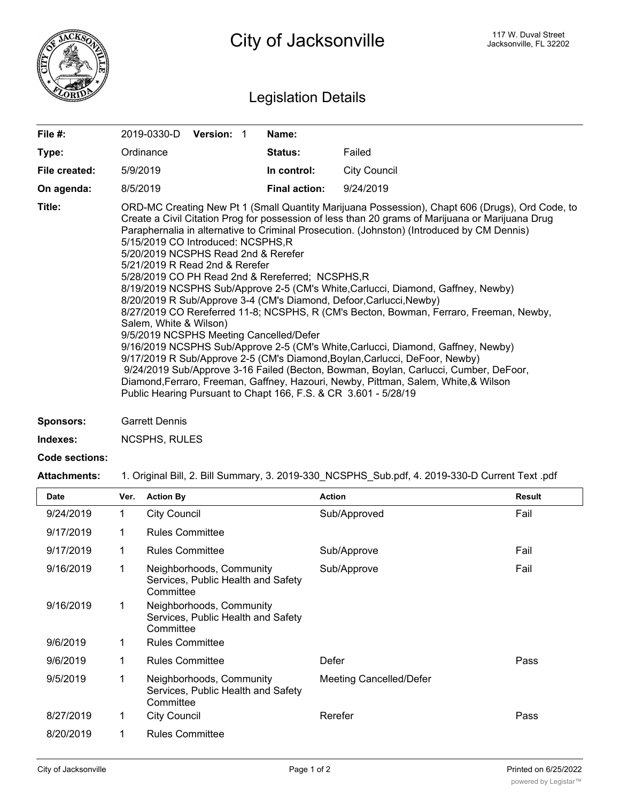

## Legislation Details

| File #:       | <b>Version: 1</b><br>2019-0330-D                                                                                                                                                                                                                                                                                                                                                                                                                                                                                                                                                                                                                                                                                                                                                                                                                                                                                                                                                                                                                                                                                                                | Name:                |                     |  |  |
|---------------|-------------------------------------------------------------------------------------------------------------------------------------------------------------------------------------------------------------------------------------------------------------------------------------------------------------------------------------------------------------------------------------------------------------------------------------------------------------------------------------------------------------------------------------------------------------------------------------------------------------------------------------------------------------------------------------------------------------------------------------------------------------------------------------------------------------------------------------------------------------------------------------------------------------------------------------------------------------------------------------------------------------------------------------------------------------------------------------------------------------------------------------------------|----------------------|---------------------|--|--|
| Type:         | Ordinance                                                                                                                                                                                                                                                                                                                                                                                                                                                                                                                                                                                                                                                                                                                                                                                                                                                                                                                                                                                                                                                                                                                                       | <b>Status:</b>       | Failed              |  |  |
| File created: | 5/9/2019                                                                                                                                                                                                                                                                                                                                                                                                                                                                                                                                                                                                                                                                                                                                                                                                                                                                                                                                                                                                                                                                                                                                        | In control:          | <b>City Council</b> |  |  |
| On agenda:    | 8/5/2019                                                                                                                                                                                                                                                                                                                                                                                                                                                                                                                                                                                                                                                                                                                                                                                                                                                                                                                                                                                                                                                                                                                                        | <b>Final action:</b> | 9/24/2019           |  |  |
| Title:        | ORD-MC Creating New Pt 1 (Small Quantity Marijuana Possession), Chapt 606 (Drugs), Ord Code, to<br>Create a Civil Citation Prog for possession of less than 20 grams of Marijuana or Marijuana Drug<br>Paraphernalia in alternative to Criminal Prosecution. (Johnston) (Introduced by CM Dennis)<br>5/15/2019 CO Introduced: NCSPHS,R<br>5/20/2019 NCSPHS Read 2nd & Rerefer<br>5/21/2019 R Read 2nd & Rerefer<br>5/28/2019 CO PH Read 2nd & Rereferred; NCSPHS, R<br>8/19/2019 NCSPHS Sub/Approve 2-5 (CM's White, Carlucci, Diamond, Gaffney, Newby)<br>8/20/2019 R Sub/Approve 3-4 (CM's Diamond, Defoor, Carlucci, Newby)<br>8/27/2019 CO Rereferred 11-8; NCSPHS, R (CM's Becton, Bowman, Ferraro, Freeman, Newby,<br>Salem, White & Wilson)<br>9/5/2019 NCSPHS Meeting Cancelled/Defer<br>9/16/2019 NCSPHS Sub/Approve 2-5 (CM's White, Carlucci, Diamond, Gaffney, Newby)<br>9/17/2019 R Sub/Approve 2-5 (CM's Diamond, Boylan, Carlucci, DeFoor, Newby)<br>9/24/2019 Sub/Approve 3-16 Failed (Becton, Bowman, Boylan, Carlucci, Cumber, DeFoor,<br>Diamond, Ferraro, Freeman, Gaffney, Hazouri, Newby, Pittman, Salem, White, & Wilson |                      |                     |  |  |

- **Sponsors:** Garrett Dennis
- **Indexes:** NCSPHS, RULES

## **Code sections:**

**Attachments:** 1. Original Bill, 2. Bill Summary, 3. 2019-330\_NCSPHS\_Sub.pdf, 4. 2019-330-D Current Text .pdf

| <b>Date</b> | Ver. | <b>Action By</b>                                                            | <b>Action</b>                  | <b>Result</b> |
|-------------|------|-----------------------------------------------------------------------------|--------------------------------|---------------|
| 9/24/2019   | 1    | <b>City Council</b>                                                         | Sub/Approved                   | Fail          |
| 9/17/2019   |      | <b>Rules Committee</b>                                                      |                                |               |
| 9/17/2019   | 1    | <b>Rules Committee</b>                                                      | Sub/Approve                    | Fail          |
| 9/16/2019   | 1    | Neighborhoods, Community<br>Services, Public Health and Safety<br>Committee | Sub/Approve                    | Fail          |
| 9/16/2019   | 1    | Neighborhoods, Community<br>Services, Public Health and Safety<br>Committee |                                |               |
| 9/6/2019    |      | <b>Rules Committee</b>                                                      |                                |               |
| 9/6/2019    | 1    | <b>Rules Committee</b>                                                      | Defer                          | Pass          |
| 9/5/2019    | 1    | Neighborhoods, Community<br>Services, Public Health and Safety<br>Committee | <b>Meeting Cancelled/Defer</b> |               |
| 8/27/2019   | 1    | <b>City Council</b>                                                         | Rerefer                        | Pass          |
| 8/20/2019   | 1    | <b>Rules Committee</b>                                                      |                                |               |